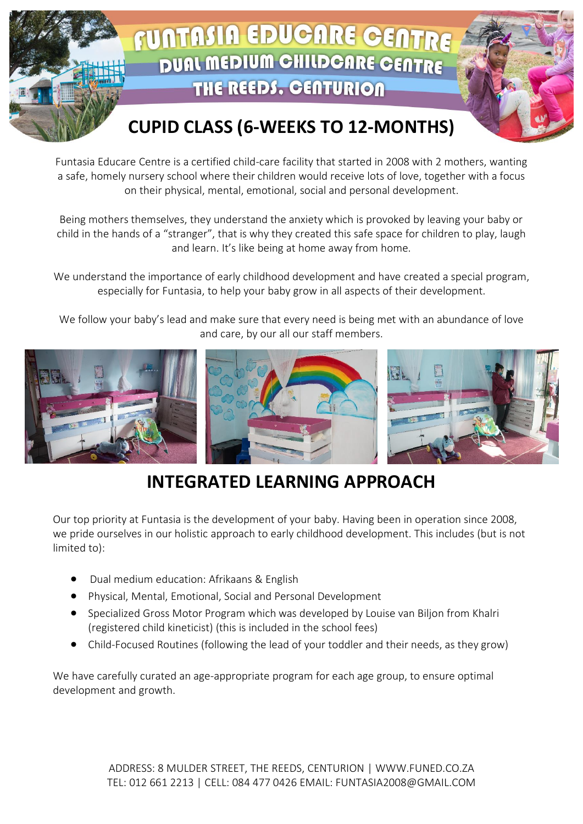**FUNTASIA EDUCARE CENTRE DUAL MEDIUM CHILDCARE CENTRE** 

THE REEDS. CENTURION

## **CUPID CLASS (6-WEEKS TO 12-MONTHS)**

Funtasia Educare Centre is a certified child-care facility that started in 2008 with 2 mothers, wanting a safe, homely nursery school where their children would receive lots of love, together with a focus on their physical, mental, emotional, social and personal development.

Being mothers themselves, they understand the anxiety which is provoked by leaving your baby or child in the hands of a "stranger", that is why they created this safe space for children to play, laugh and learn. It's like being at home away from home.

We understand the importance of early childhood development and have created a special program, especially for Funtasia, to help your baby grow in all aspects of their development.

We follow your baby's lead and make sure that every need is being met with an abundance of love and care, by our all our staff members.



### **INTEGRATED LEARNING APPROACH**

Our top priority at Funtasia is the development of your baby. Having been in operation since 2008, we pride ourselves in our holistic approach to early childhood development. This includes (but is not limited to):

- Dual medium education: Afrikaans & English
- Physical, Mental, Emotional, Social and Personal Development
- Specialized Gross Motor Program which was developed by Louise van Biljon from Khalri (registered child kineticist) (this is included in the school fees)
- Child-Focused Routines (following the lead of your toddler and their needs, as they grow)

We have carefully curated an age-appropriate program for each age group, to ensure optimal development and growth.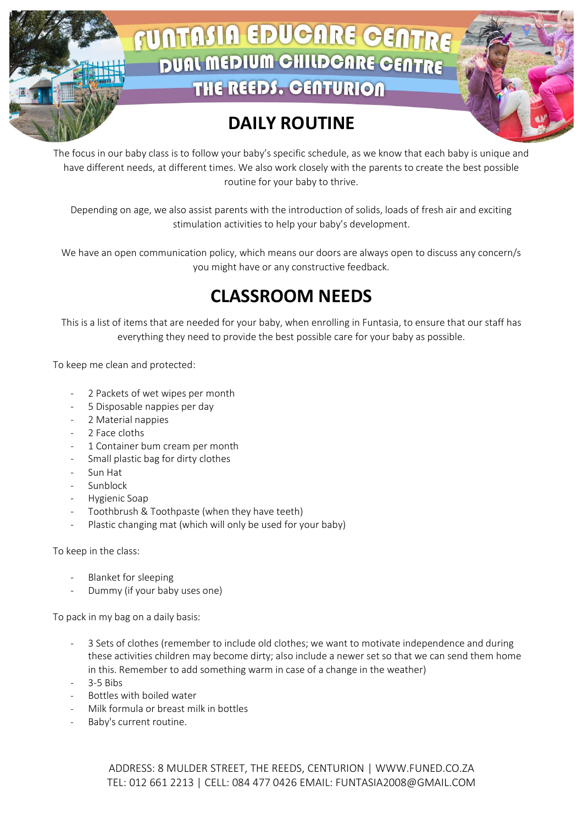

# **FUNTASIA EDUCARE CENTR DUAL MEDIUM CHILDCARE CENTRE** THE REEDS. CENTURION

## **DAILY ROUTINE**

The focus in our baby class is to follow your baby's specific schedule, as we know that each baby is unique and have different needs, at different times. We also work closely with the parents to create the best possible routine for your baby to thrive.

Depending on age, we also assist parents with the introduction of solids, loads of fresh air and exciting stimulation activities to help your baby's development.

We have an open communication policy, which means our doors are always open to discuss any concern/s you might have or any constructive feedback.

## **CLASSROOM NEEDS**

This is a list of items that are needed for your baby, when enrolling in Funtasia, to ensure that our staff has everything they need to provide the best possible care for your baby as possible.

To keep me clean and protected:

- 2 Packets of wet wipes per month
- 5 Disposable nappies per day
- 2 Material nappies
- 2 Face cloths
- 1 Container bum cream per month
- Small plastic bag for dirty clothes
- Sun Hat
- **Sunblock**
- Hygienic Soap
- Toothbrush & Toothpaste (when they have teeth)
- Plastic changing mat (which will only be used for your baby)

To keep in the class:

- Blanket for sleeping
- Dummy (if your baby uses one)

To pack in my bag on a daily basis:

- 3 Sets of clothes (remember to include old clothes; we want to motivate independence and during these activities children may become dirty; also include a newer set so that we can send them home in this. Remember to add something warm in case of a change in the weather)
- 3-5 Bibs
- Bottles with boiled water
- Milk formula or breast milk in bottles
- Baby's current routine.